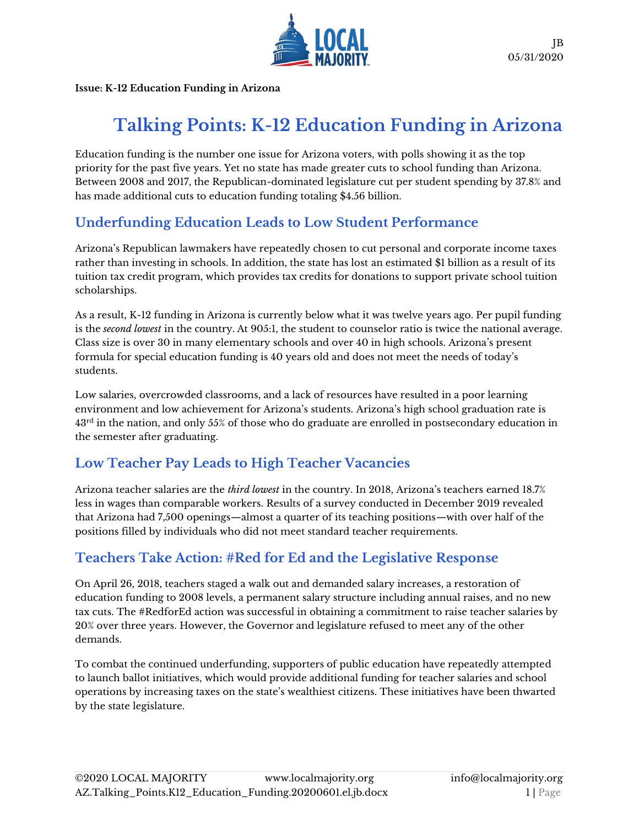

**Issue: K-12 Education Funding in Arizona**

# **Talking Points: K-12 Education Funding in Arizona**

Education funding is the number one issue for Arizona voters, with polls showing it as the top priority for the past five years. Yet no state has made greater cuts to school funding than Arizona. Between 2008 and 2017, the Republican-dominated legislature cut per student spending by 37.8% and has made additional cuts to education funding totaling \$4.56 billion.

### **Underfunding Education Leads to Low Student Performance**

Arizona's Republican lawmakers have repeatedly chosen to cut personal and corporate income taxes rather than investing in schools. In addition, the state has lost an estimated \$1 billion as a result of its tuition tax credit program, which provides tax credits for donations to support private school tuition scholarships.

As a result, K-12 funding in Arizona is currently below what it was twelve years ago. Per pupil funding is the *second lowest* in the country. At 905:1, the student to counselor ratio is twice the national average. Class size is over 30 in many elementary schools and over 40 in high schools. Arizona's present formula for special education funding is 40 years old and does not meet the needs of today's students.

Low salaries, overcrowded classrooms, and a lack of resources have resulted in a poor learning environment and low achievement for Arizona's students. Arizona's high school graduation rate is 43<sup>rd</sup> in the nation, and only 55% of those who do graduate are enrolled in postsecondary education in the semester after graduating.

#### **Low Teacher Pay Leads to High Teacher Vacancies**

Arizona teacher salaries are the *third lowest* in the country. In 2018, Arizona's teachers earned 18.7% less in wages than comparable workers. Results of a survey conducted in December 2019 revealed that Arizona had 7,500 openings—almost a quarter of its teaching positions—with over half of the positions filled by individuals who did not meet standard teacher requirements.

## **Teachers Take Action: #Red for Ed and the Legislative Response**

On April 26, 2018, teachers staged a walk out and demanded salary increases, a restoration of education funding to 2008 levels, a permanent salary structure including annual raises, and no new tax cuts. The #RedforEd action was successful in obtaining a commitment to raise teacher salaries by 20% over three years. However, the Governor and legislature refused to meet any of the other demands.

To combat the continued underfunding, supporters of public education have repeatedly attempted to launch ballot initiatives, which would provide additional funding for teacher salaries and school operations by increasing taxes on the state's wealthiest citizens. These initiatives have been thwarted by the state legislature.